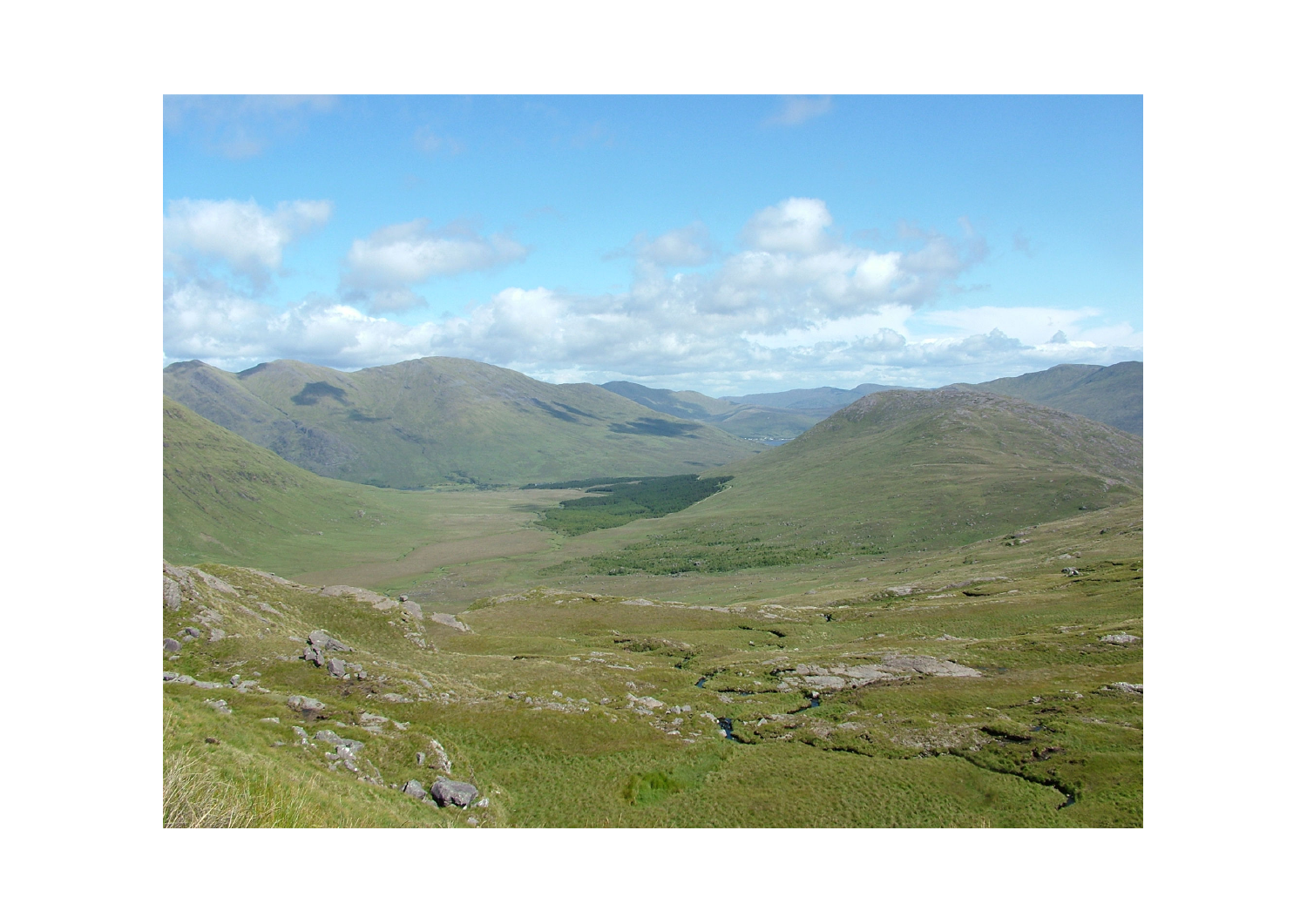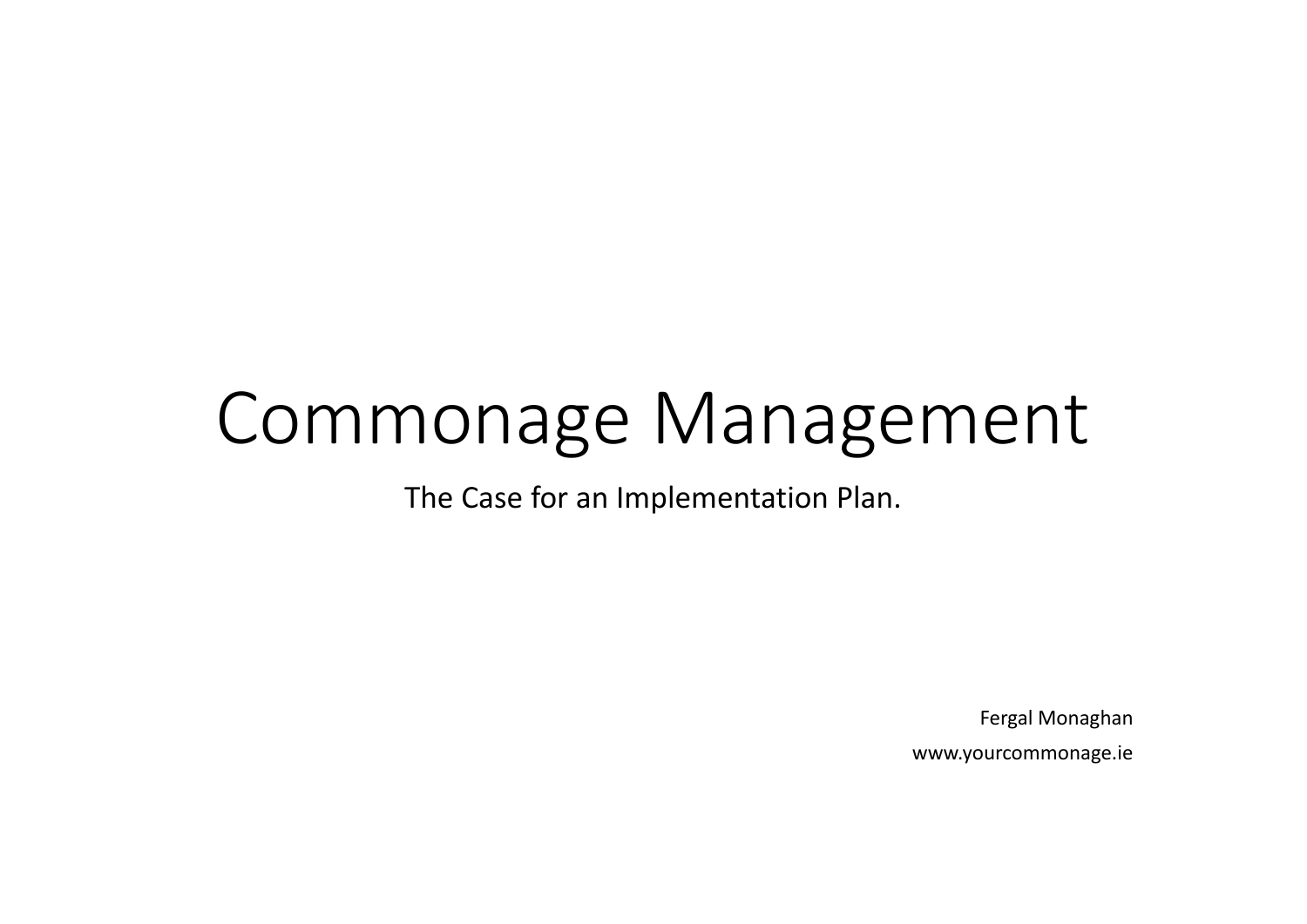# Commonage Management

The Case for an Implementation Plan.

Fergal Monaghan www.yourcommonage.ie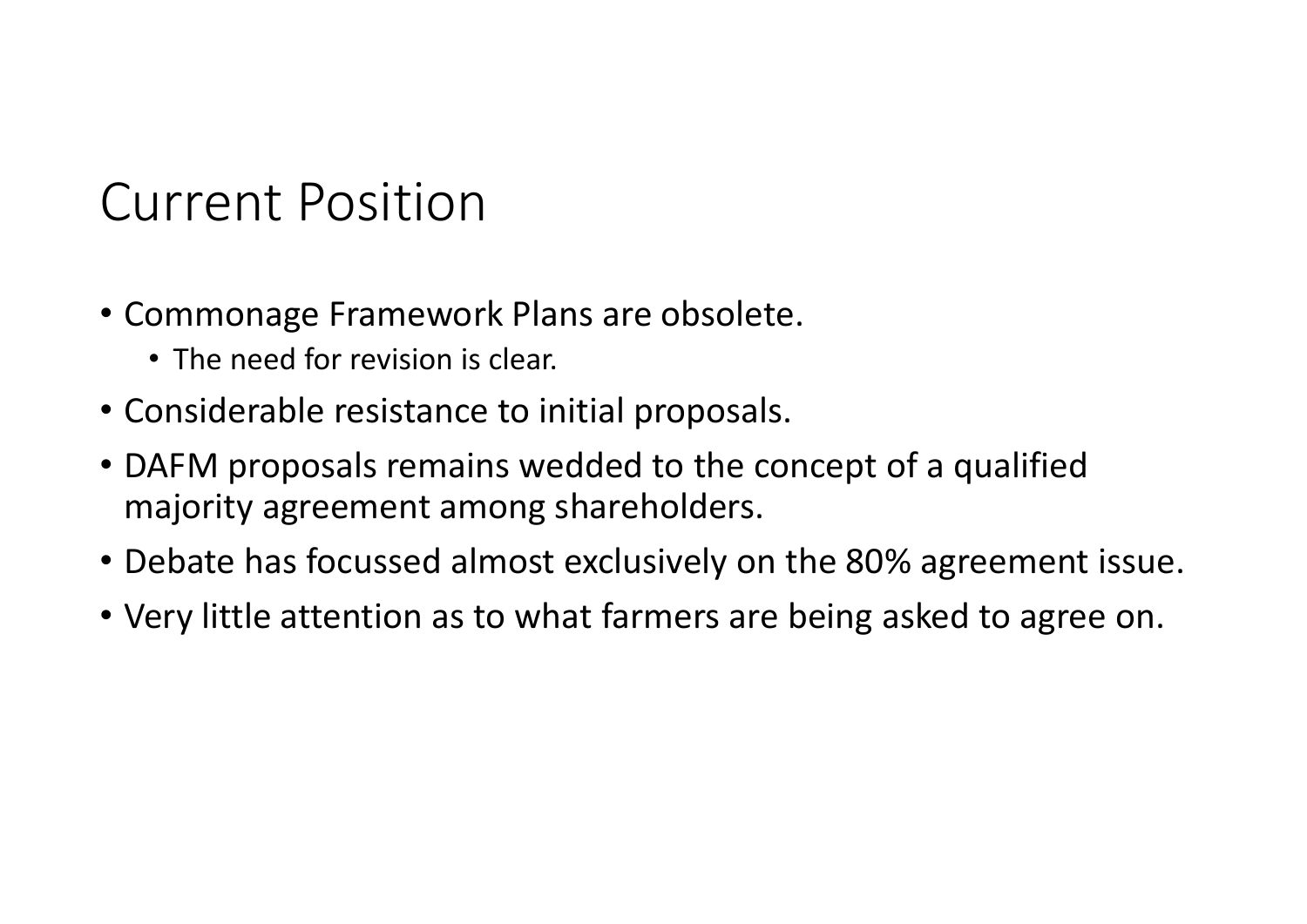#### Current Position

- Commonage Framework Plans are obsolete.
	- The need for revision is clear.
- Considerable resistance to initial proposals.
- DAFM proposals remains wedded to the concept of a qualified majority agreement among shareholders.
- Debate has focussed almost exclusively on the 80% agreement issue.
- Very little attention as to what farmers are being asked to agree on.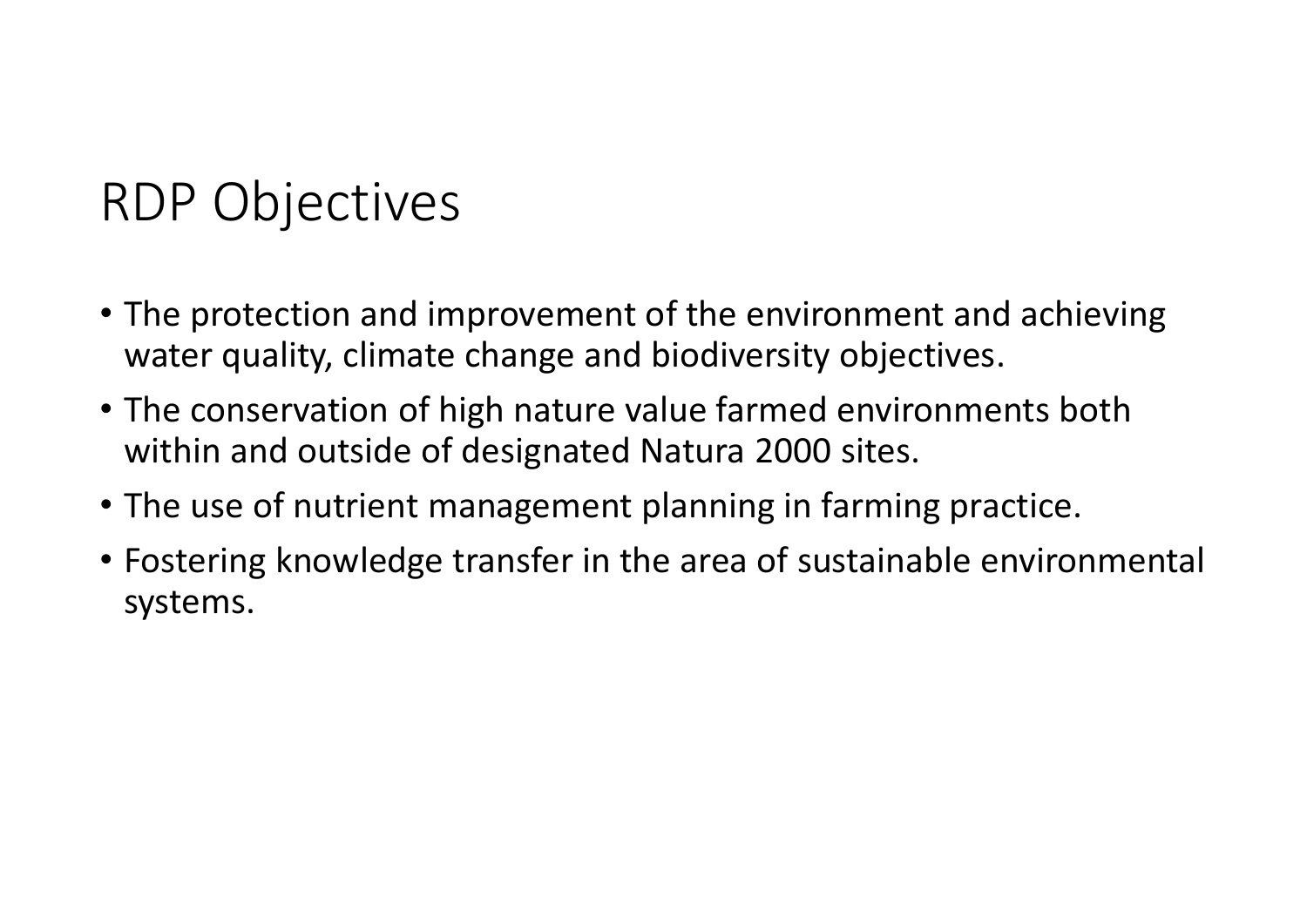# RDP Objectives

- The protection and improvement of the environment and achieving water quality, climate change and biodiversity objectives.
- The conservation of high nature value farmed environments both within and outside of designated Natura 2000 sites.
- The use of nutrient management planning in farming practice.
- Fostering knowledge transfer in the area of sustainable environmental systems.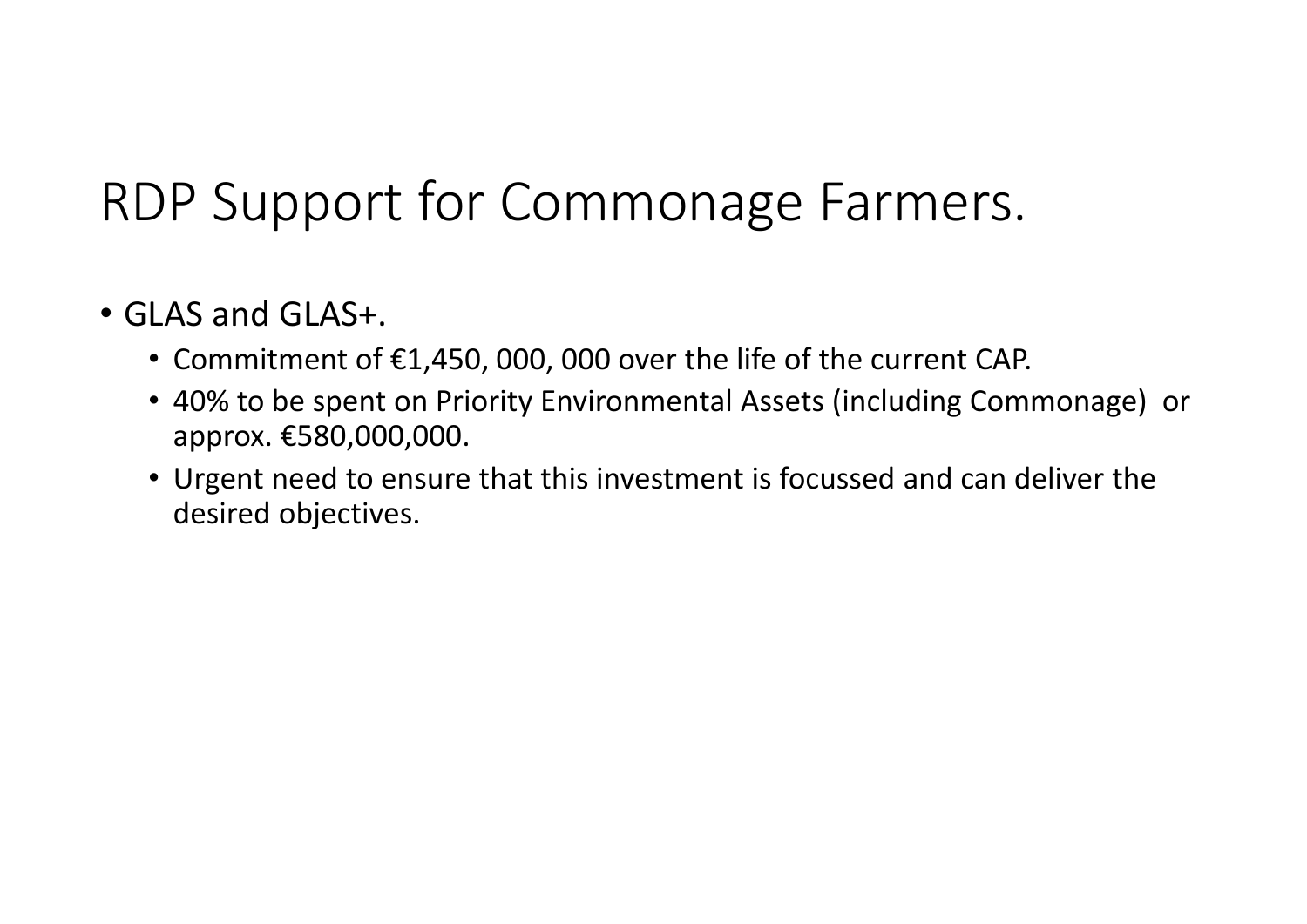# RDP Support for Commonage Farmers.

- GLAS and GLAS+.
	- Commitment of €1,450, 000, 000 over the life of the current CAP.
	- 40% to be spent on Priority Environmental Assets (including Commonage) or approx. €580,000,000.
	- Urgent need to ensure that this investment is focussed and can deliver the desired objectives.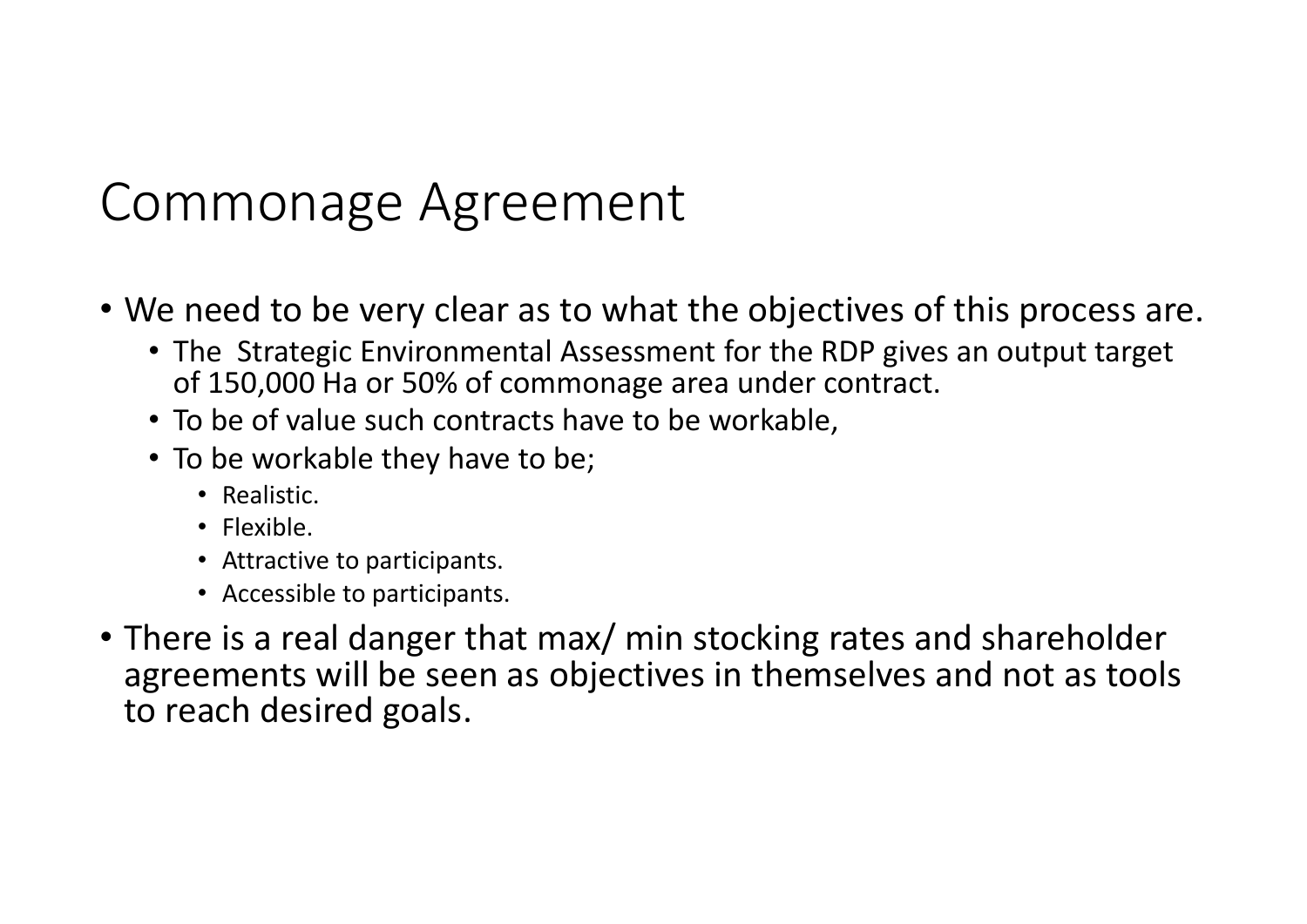### Commonage Agreement

- We need to be very clear as to what the objectives of this process are.
	- The Strategic Environmental Assessment for the RDP gives an output target of 150,000 Ha or 50% of commonage area under contract.
	- To be of value such contracts have to be workable,
	- To be workable they have to be;
		- Realistic.
		- Flexible.
		- Attractive to participants.
		- Accessible to participants.
- There is a real danger that max/ min stocking rates and shareholder agreements will be seen as objectives in themselves and not as tools to reach desired goals.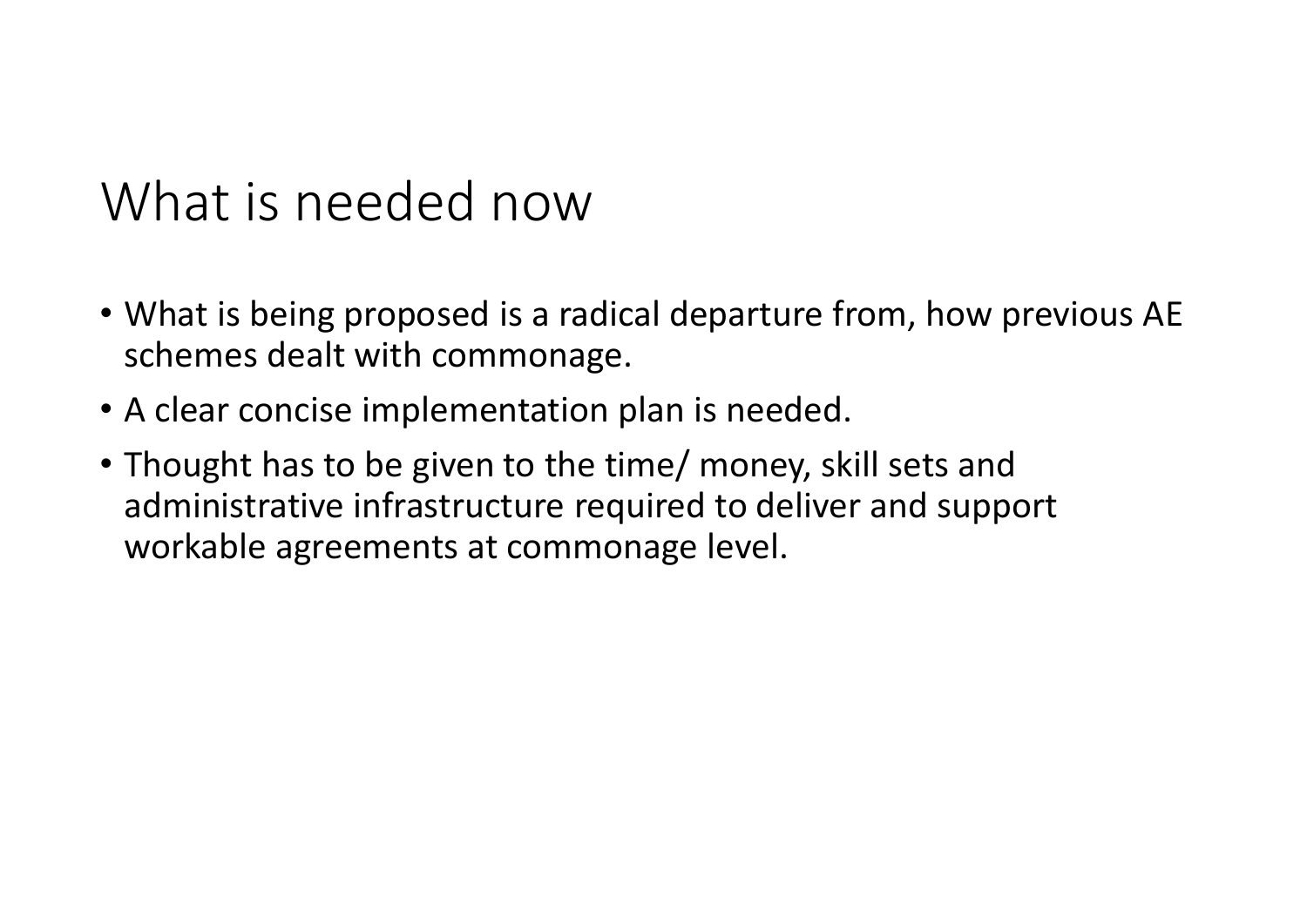#### What is needed now

- What is being proposed is a radical departure from, how previous AE schemes dealt with commonage.
- A clear concise implementation plan is needed.
- Thought has to be given to the time/ money, skill sets and administrative infrastructure required to deliver and support workable agreements at commonage level.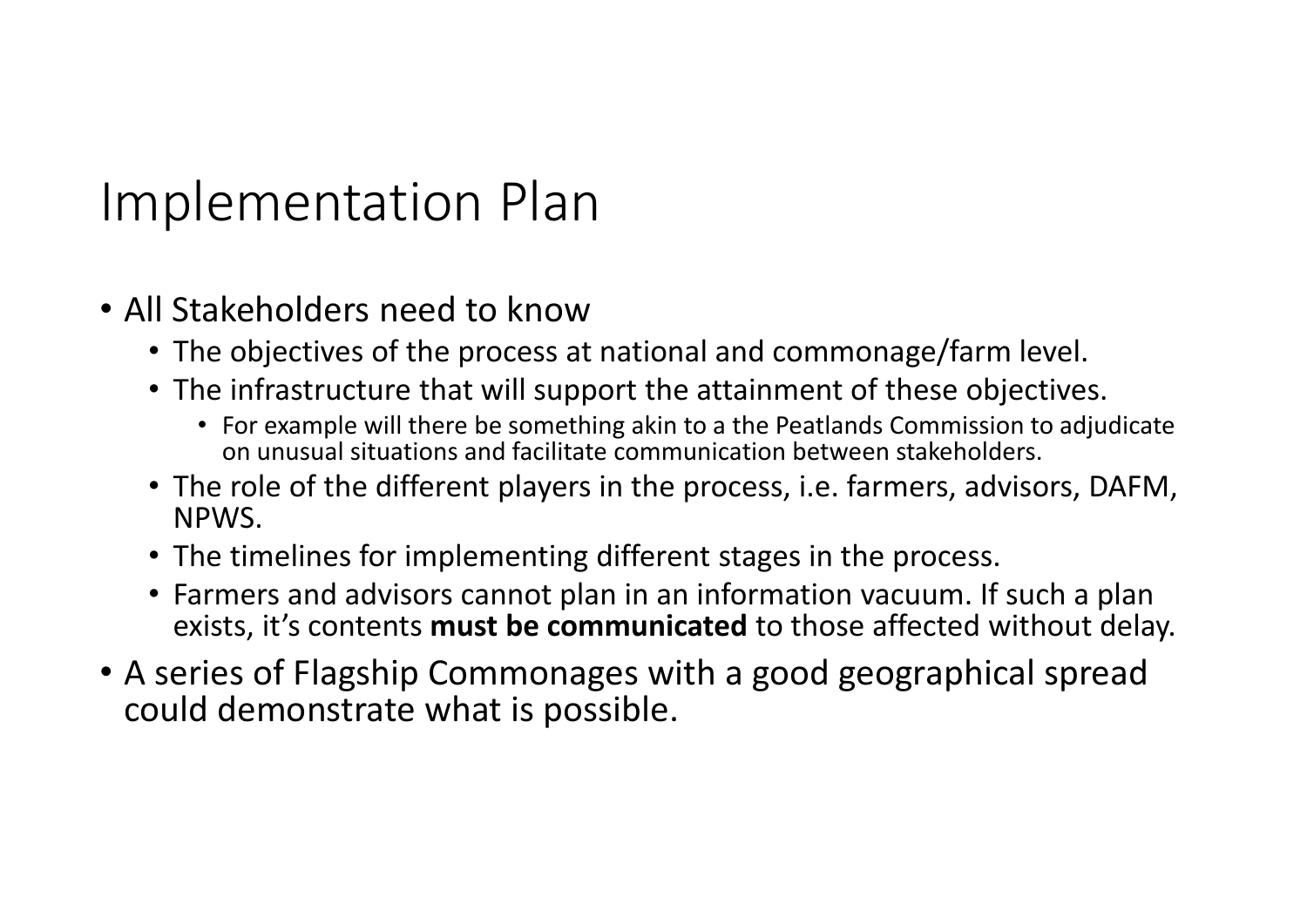#### Implementation Plan

- All Stakeholders need to know
	- The objectives of the process at national and commonage/farm level.
	- The infrastructure that will support the attainment of these objectives.
		- For example will there be something akin to a the Peatlands Commission to adjudicate on unusual situations and facilitate communication between stakeholders.
	- The role of the different players in the process, i.e. farmers, advisors, DAFM, NPWS.
	- The timelines for implementing different stages in the process.
	- Farmers and advisors cannot plan in an information vacuum. If such a plan exists, it's contents **must be communicated** to those affected without delay.
- A series of Flagship Commonages with a good geographical spread could demonstrate what is possible.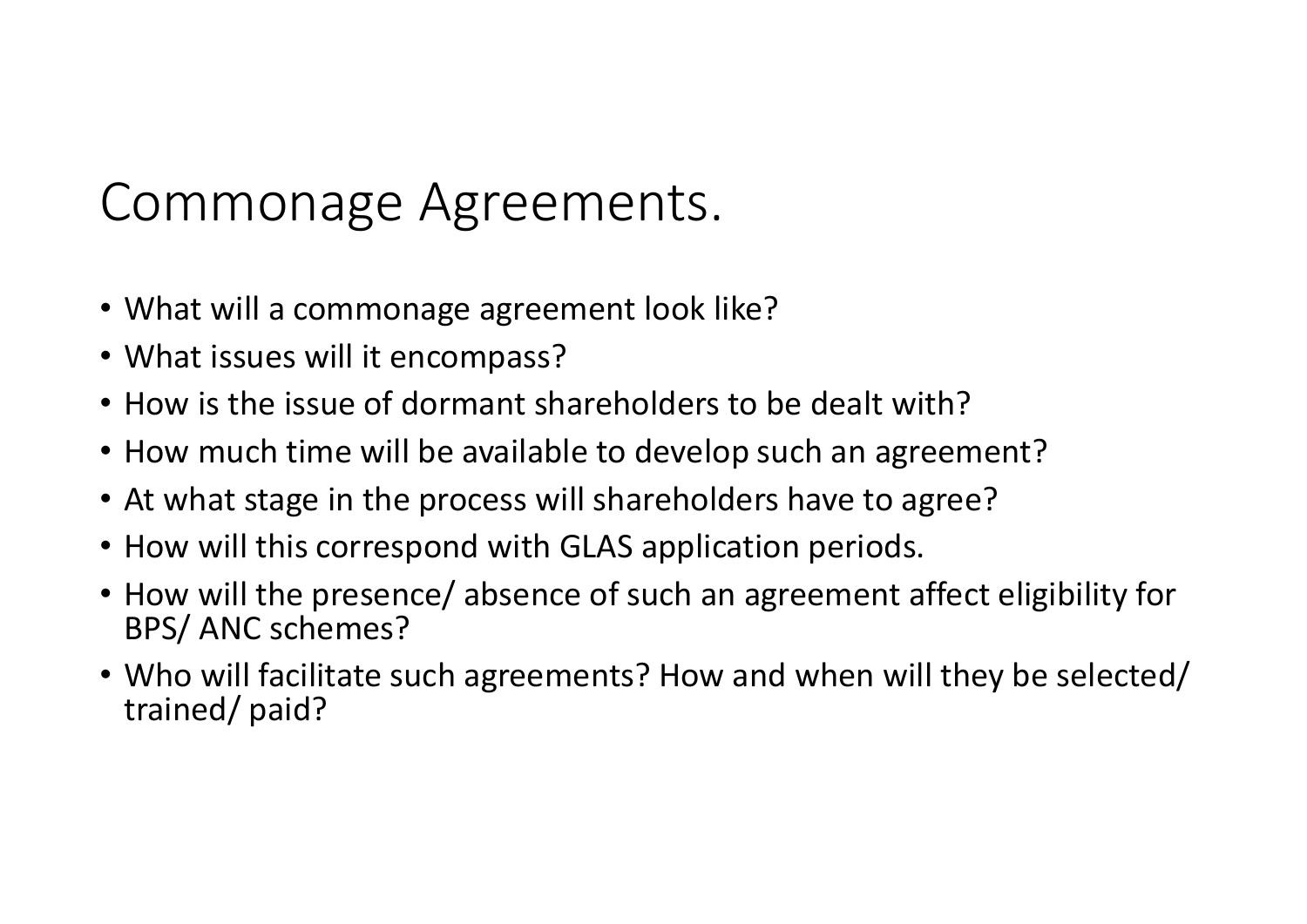# Commonage Agreements.

- What will a commonage agreement look like?
- What issues will it encompass?
- How is the issue of dormant shareholders to be dealt with?
- How much time will be available to develop such an agreement?
- At what stage in the process will shareholders have to agree?
- How will this correspond with GLAS application periods.
- How will the presence/ absence of such an agreement affect eligibility for BPS/ ANC schemes?
- Who will facilitate such agreements? How and when will they be selected/ trained/ paid?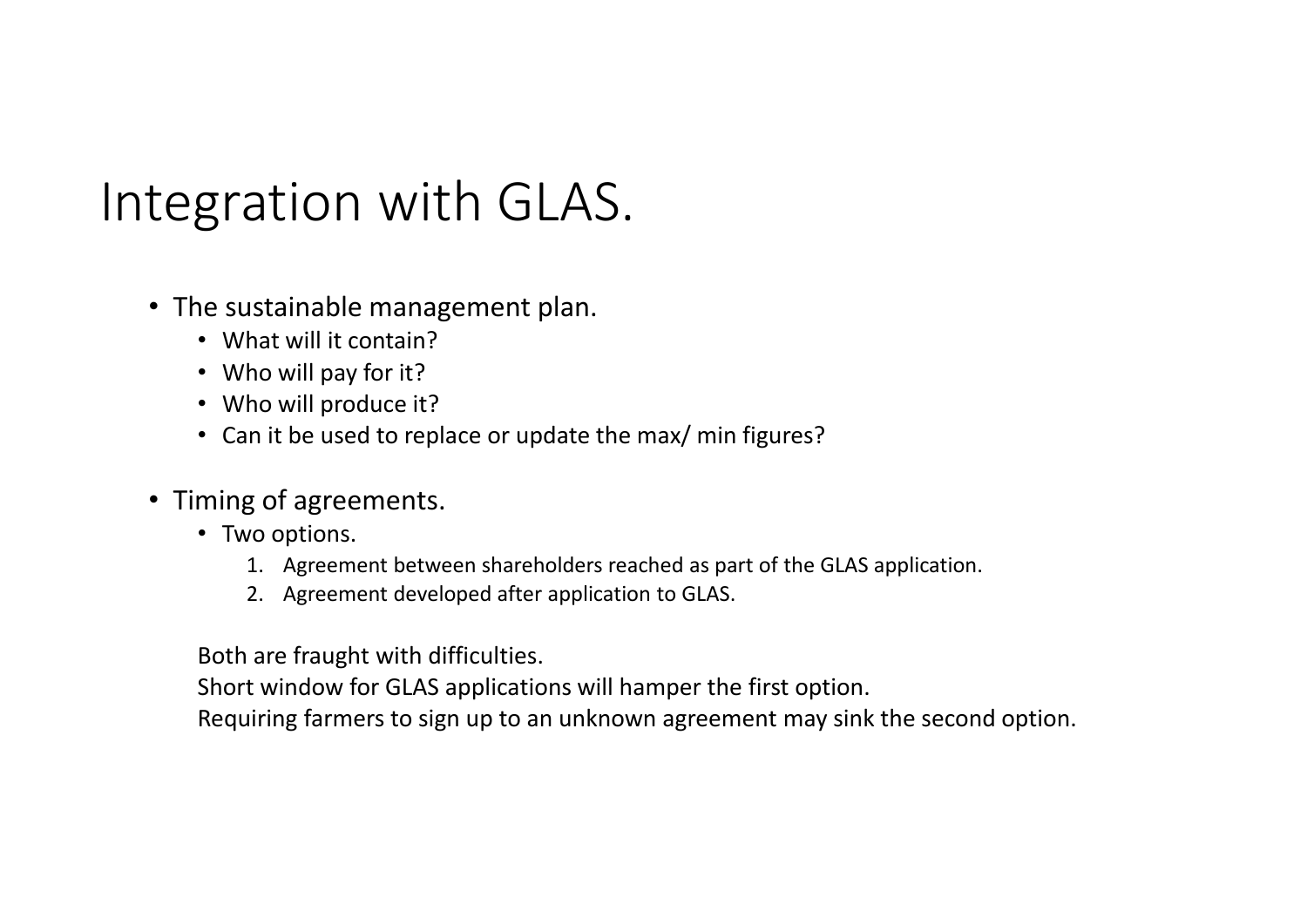### Integration with GLAS.

- The sustainable management plan.
	- What will it contain?
	- Who will pay for it?
	- Who will produce it?
	- Can it be used to replace or update the max/ min figures?
- Timing of agreements.
	- Two options.
		- 1. Agreement between shareholders reached as part of the GLAS application.
		- 2. Agreement developed after application to GLAS.

Both are fraught with difficulties.

Short window for GLAS applications will hamper the first option.

Requiring farmers to sign up to an unknown agreement may sink the second option.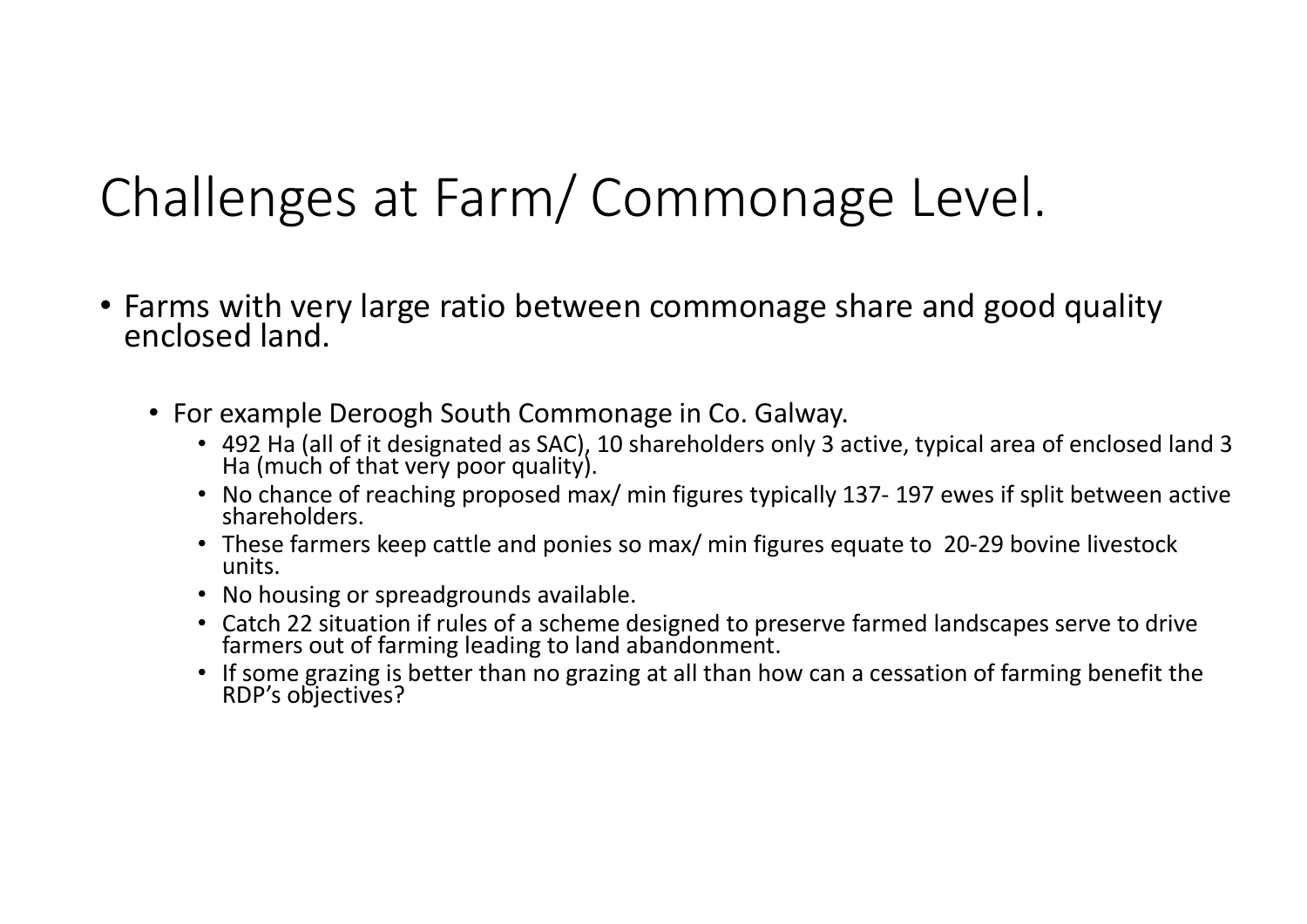- Farms with very large ratio between commonage share and good quality enclosed land.
	- For example Deroogh South Commonage in Co. Galway.
		- 492 Ha (all of it designated as SAC), 10 shareholders only 3 active, typical area of enclosed land 3<br>Ha (much of that very poor quality).
		- No chance of reaching proposed max/ min figures typically 137- 197 ewes if split between active shareholders.
		- These farmers keep cattle and ponies so max/ min figures equate to 20-29 bovine livestock units.
		- No housing or spreadgrounds available.
		- Catch 22 situation if rules of a scheme designed to preserve farmed landscapes serve to drive farmers out of farming leading to land abandonment.
		- If some grazing is better than no grazing at all than how can a cessation of farming benefit the RDP's objectives?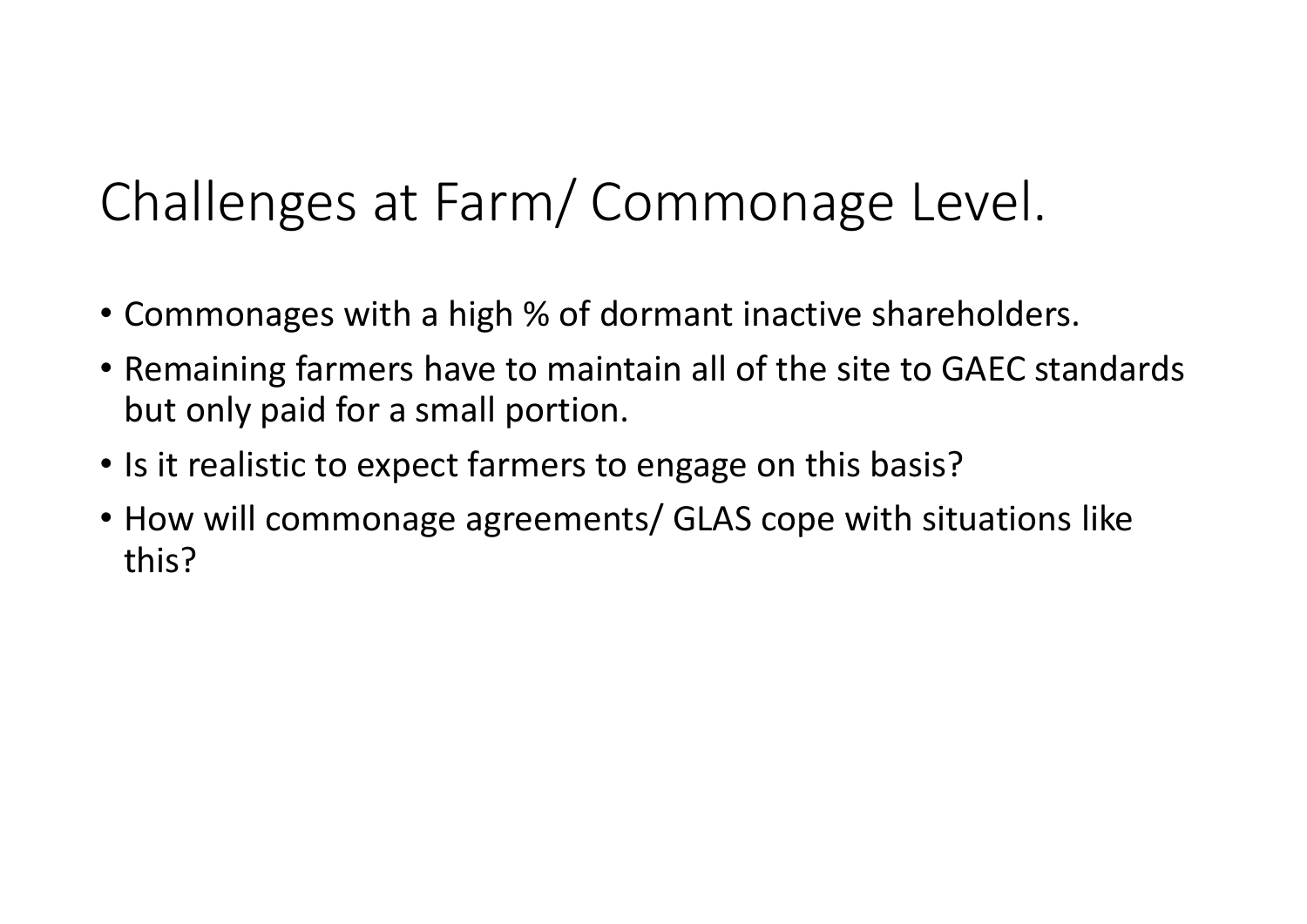- Commonages with a high % of dormant inactive shareholders.
- Remaining farmers have to maintain all of the site to GAEC standards but only paid for a small portion.
- Is it realistic to expect farmers to engage on this basis?
- How will commonage agreements/ GLAS cope with situations like this?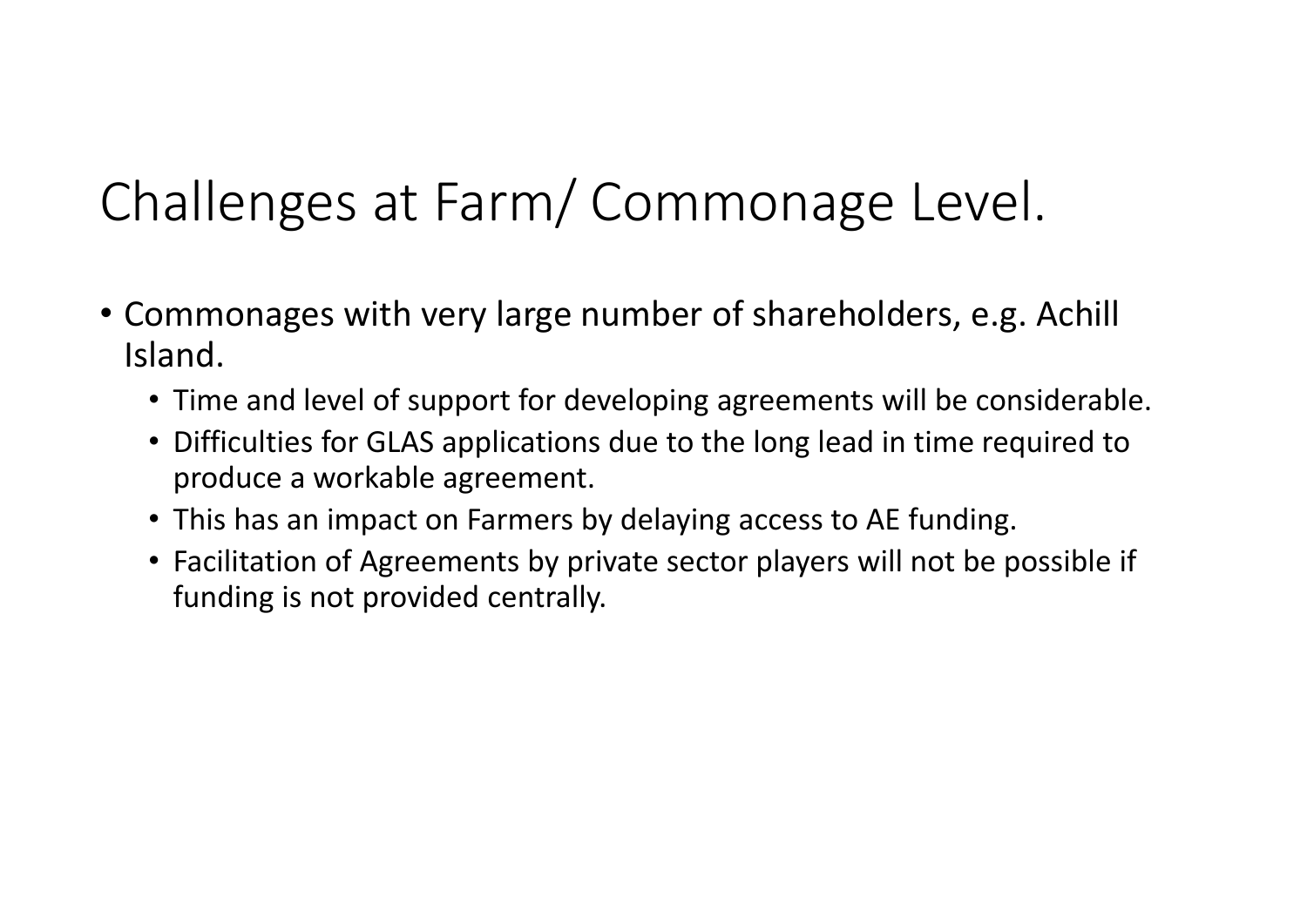- Commonages with very large number of shareholders, e.g. Achill Island.
	- Time and level of support for developing agreements will be considerable.
	- Difficulties for GLAS applications due to the long lead in time required to produce a workable agreement.
	- This has an impact on Farmers by delaying access to AE funding.
	- Facilitation of Agreements by private sector players will not be possible if funding is not provided centrally.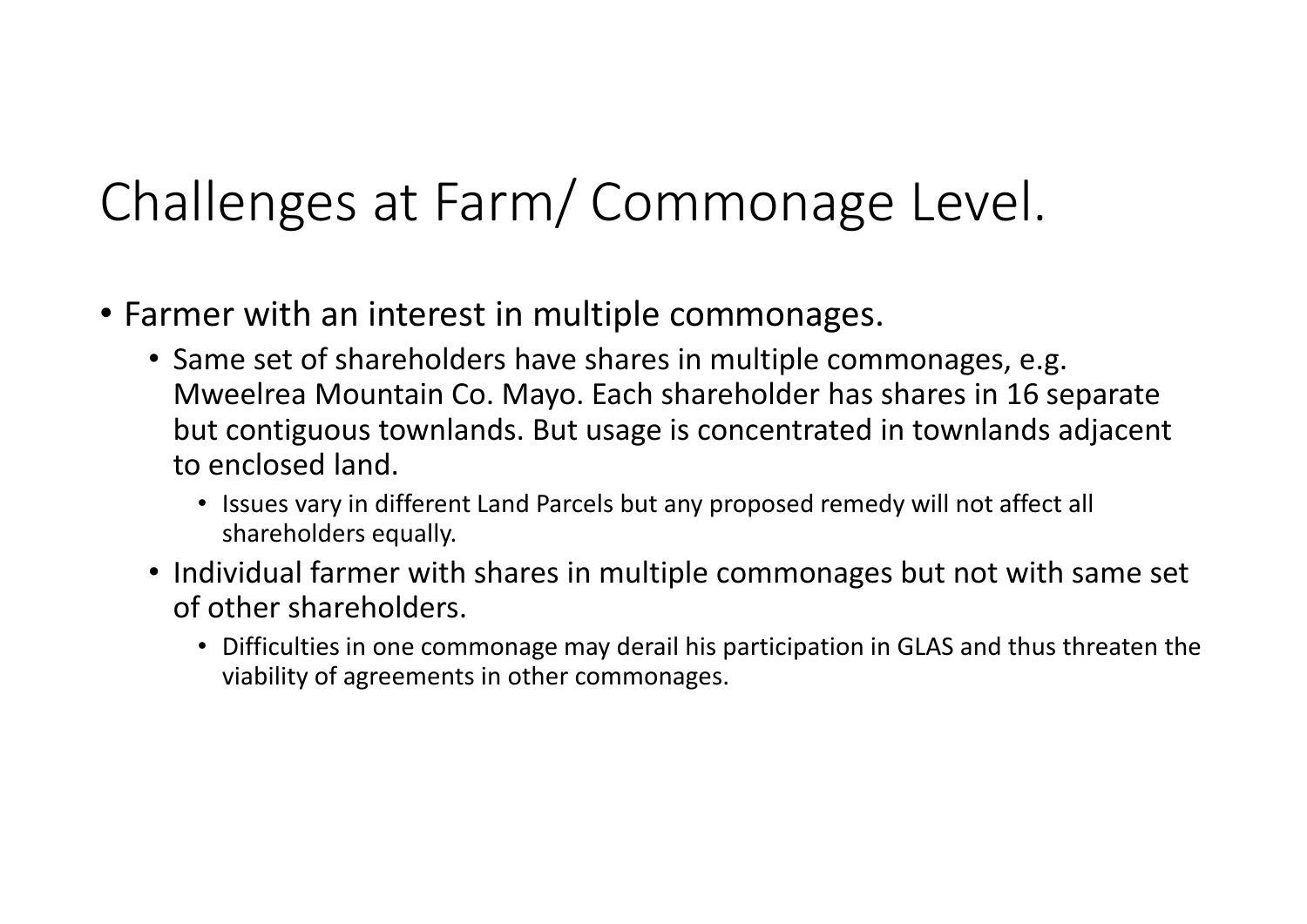- Farmer with an interest in multiple commonages.
	- Same set of shareholders have shares in multiple commonages, e.g. Mweelrea Mountain Co. Mayo. Each shareholder has shares in 16 separate but contiguous townlands. But usage is concentrated in townlands adjacent to enclosed land.
		- Issues vary in different Land Parcels but any proposed remedy will not affect all shareholders equally.
	- Individual farmer with shares in multiple commonages but not with same set of other shareholders.
		- Difficulties in one commonage may derail his participation in GLAS and thus threaten the viability of agreements in other commonages.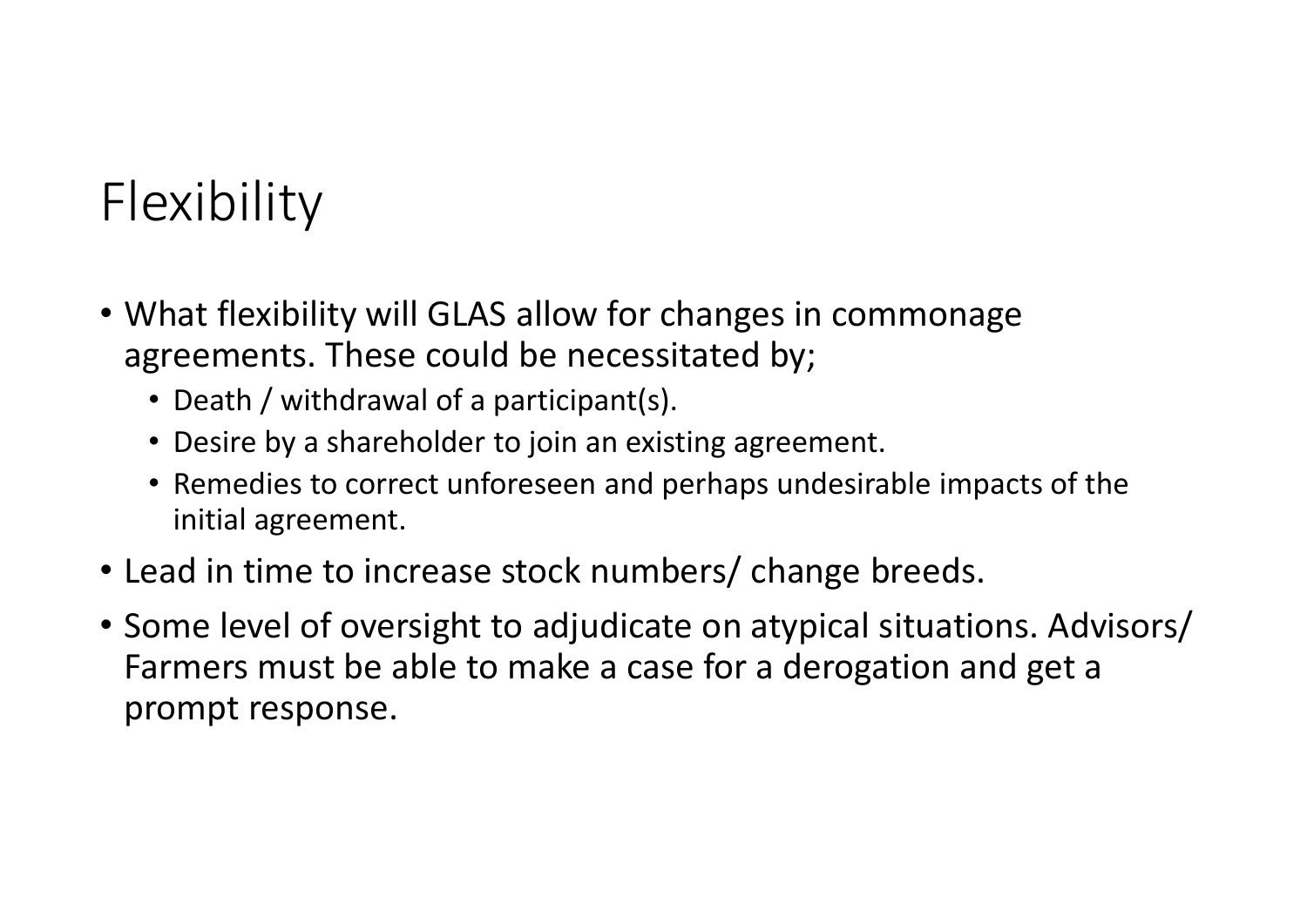# **Flexibility**

- What flexibility will GLAS allow for changes in commonage agreements. These could be necessitated by;
	- Death / withdrawal of a participant(s).
	- Desire by a shareholder to join an existing agreement.
	- Remedies to correct unforeseen and perhaps undesirable impacts of the initial agreement.
- Lead in time to increase stock numbers/ change breeds.
- Some level of oversight to adjudicate on atypical situations. Advisors/ Farmers must be able to make a case for a derogation and get a prompt response.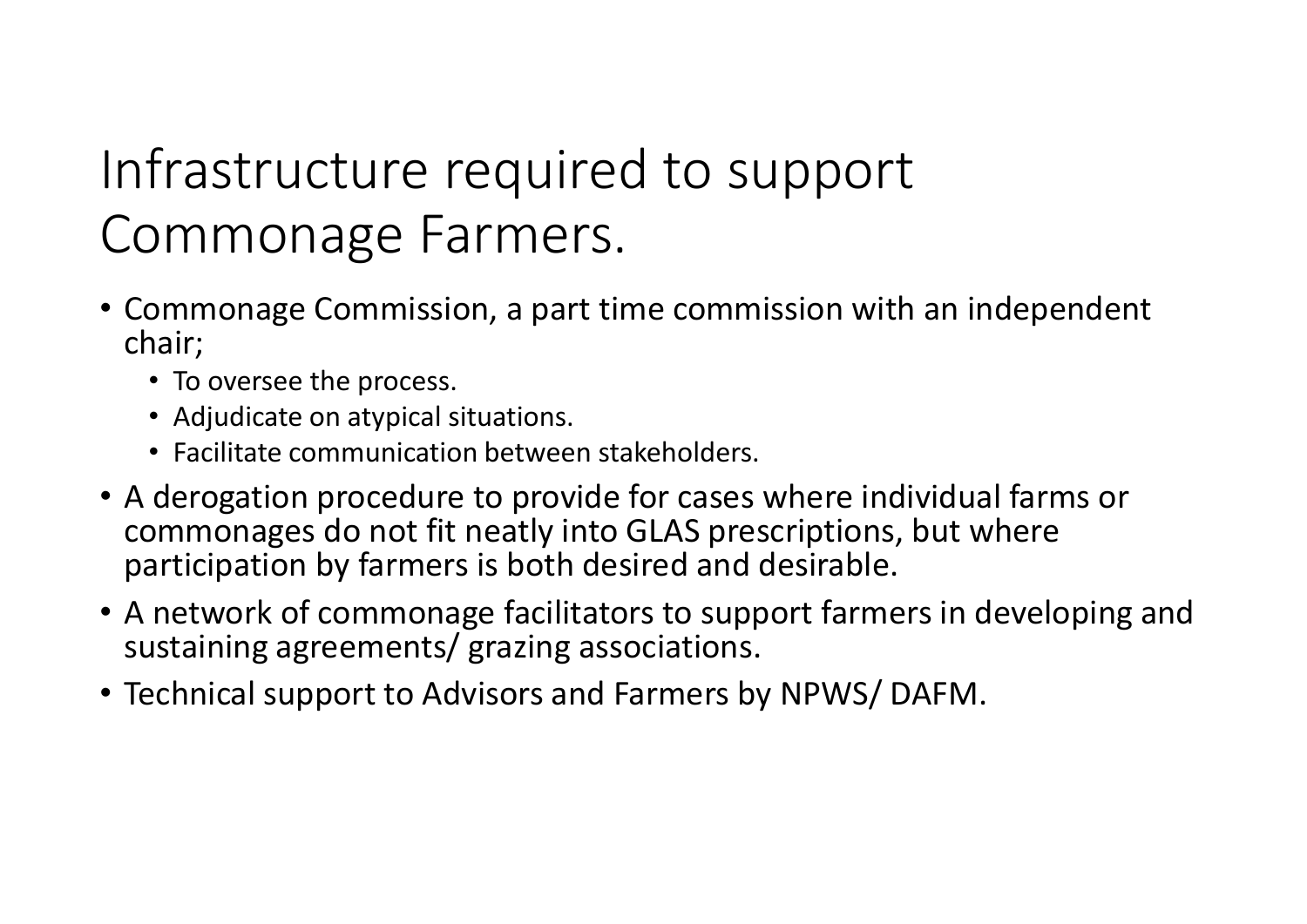# Infrastructure required to support Commonage Farmers.

- Commonage Commission, a part time commission with an independent chair;
	- To oversee the process.
	- Adjudicate on atypical situations.
	- Facilitate communication between stakeholders.
- A derogation procedure to provide for cases where individual farms or commonages do not fit neatly into GLAS prescriptions, but where participation by farmers is both desired and desirable.
- A network of commonage facilitators to support farmers in developing and sustaining agreements/ grazing associations.
- Technical support to Advisors and Farmers by NPWS/ DAFM.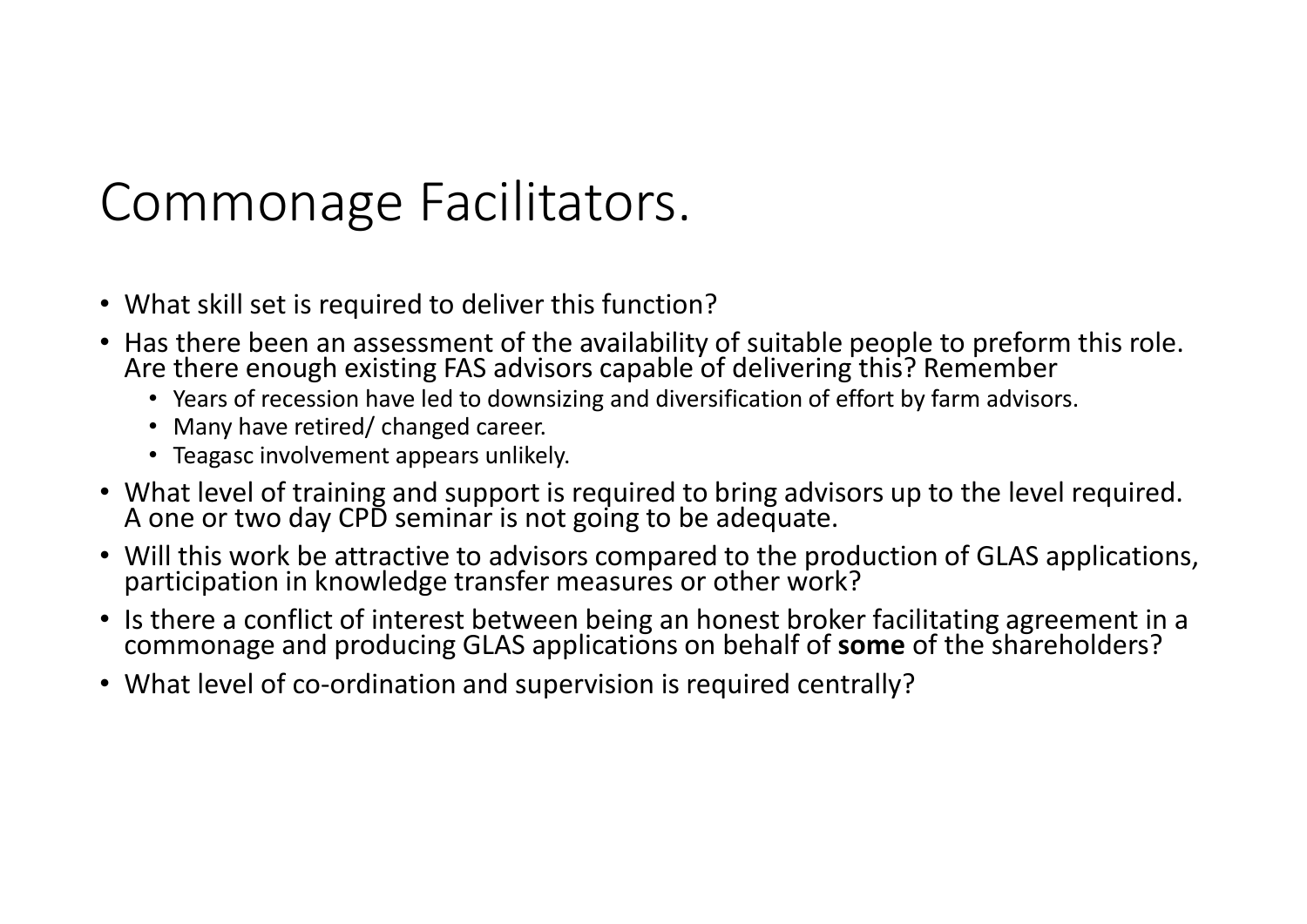# Commonage Facilitators.

- What skill set is required to deliver this function?
- Has there been an assessment of the availability of suitable people to preform this role.<br>Are there enough existing FAS advisors capable of delivering this? Remember
	- Years of recession have led to downsizing and diversification of effort by farm advisors.
	- Many have retired/ changed career.
	- Teagasc involvement appears unlikely.
- What level of training and support is required to bring advisors up to the level required.<br>A one or two day CPD seminar is not going to be adequate.
- Will this work be attractive to advisors compared to the production of GLAS applications,<br>participation in knowledge transfer measures or other work?
- Is there a conflict of interest between being an honest broker facilitating agreement in a commonage and producing GLAS applications on behalf of **some** of the shareholders?
- What level of co-ordination and supervision is required centrally?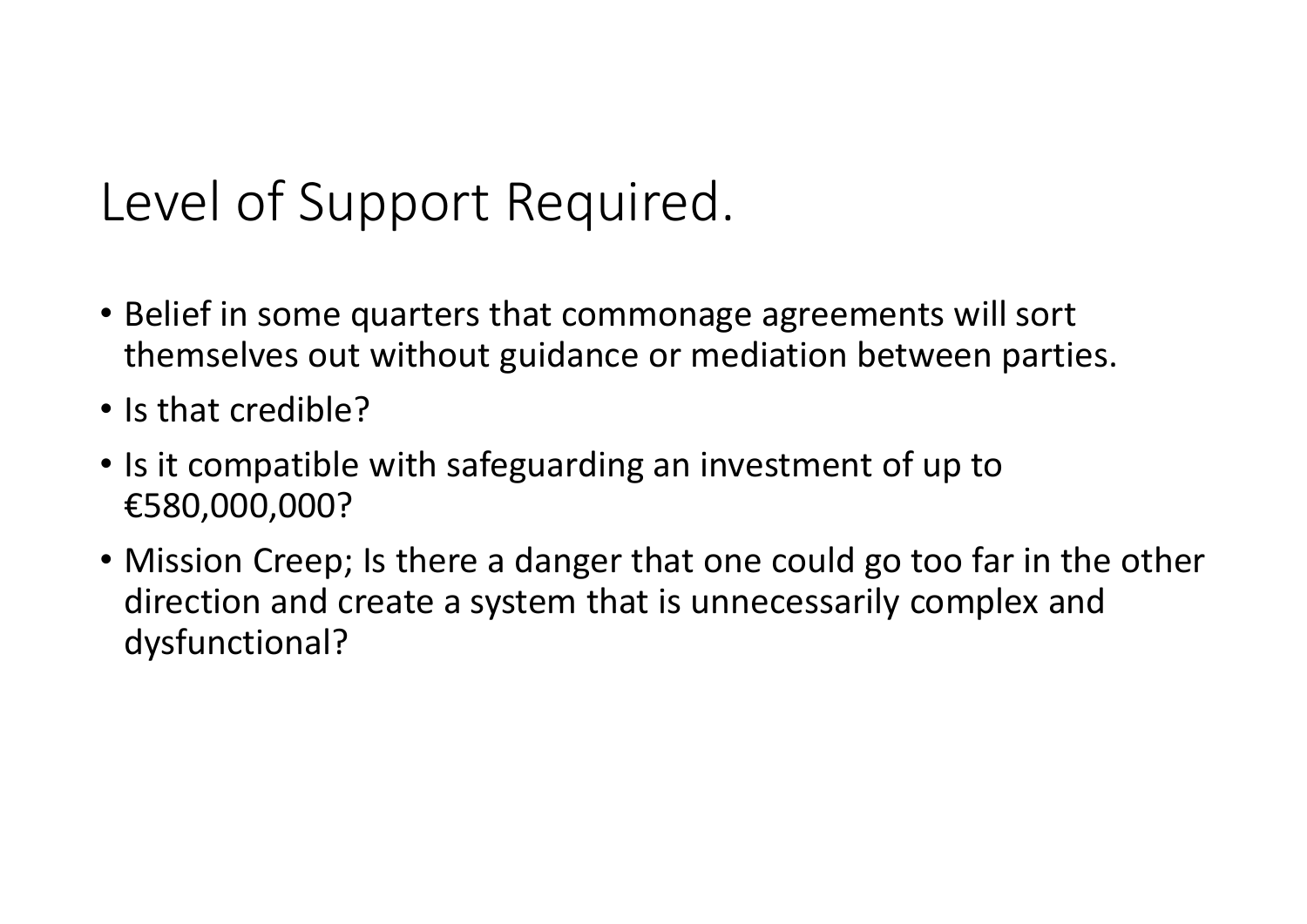### Level of Support Required.

- Belief in some quarters that commonage agreements will sort themselves out without guidance or mediation between parties.
- Is that credible?
- Is it compatible with safeguarding an investment of up to €580,000,000?
- Mission Creep; Is there a danger that one could go too far in the other direction and create a system that is unnecessarily complex and dysfunctional?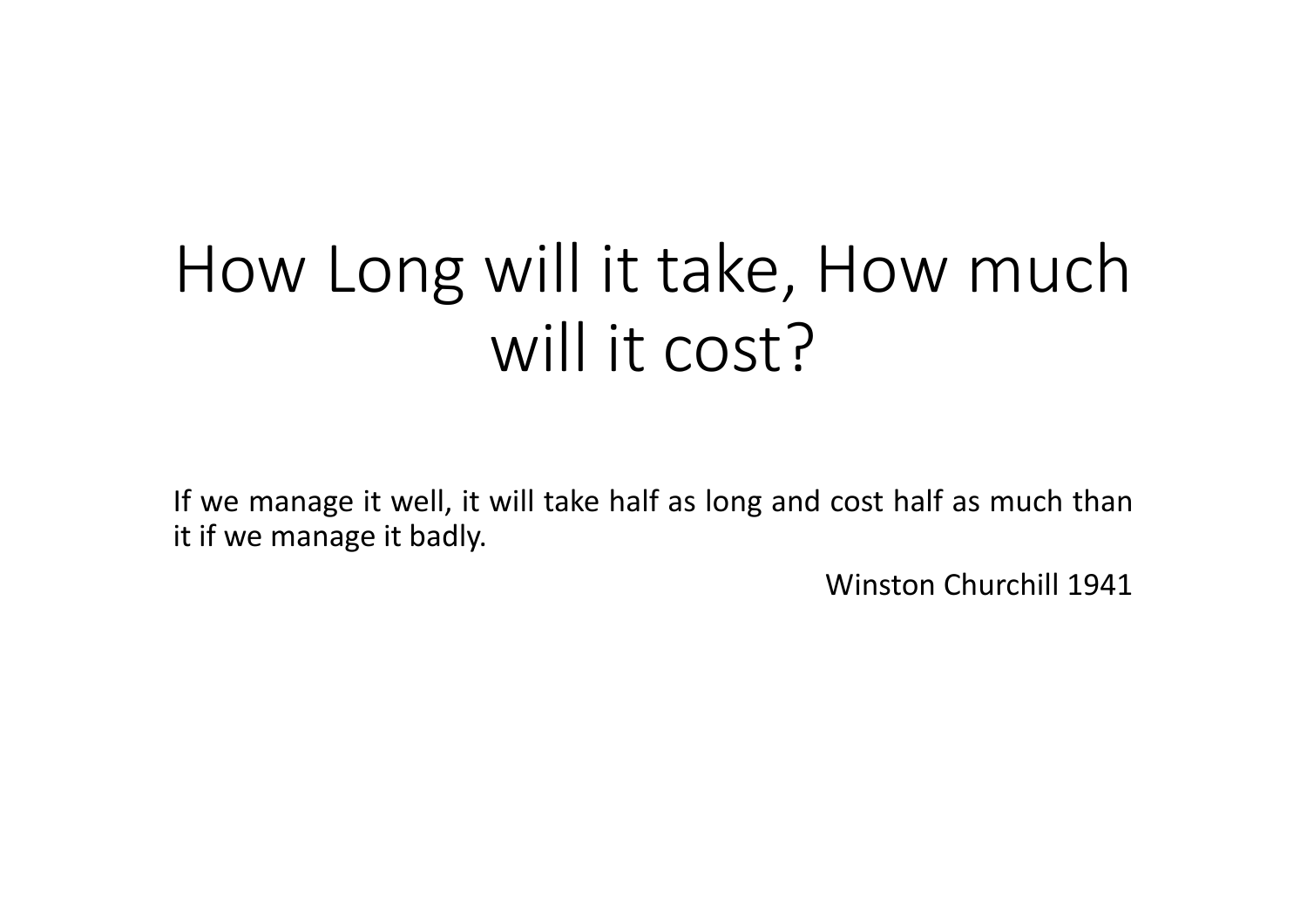# How Long will it take, How much will it cost?

If we manage it well, it will take half as long and cost half as much thanit if we manage it badly.

Winston Churchill 1941